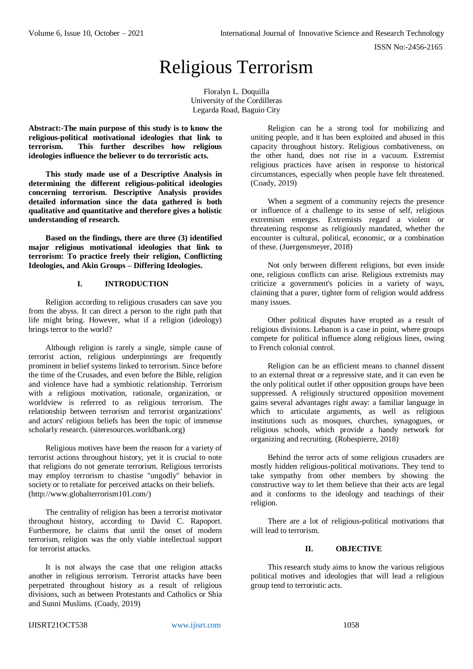ISSN No:-2456-2165

# Religious Terrorism

Floralyn L. Doquilla University of the Cordilleras Legarda Road, Baguio City

**Abstract:-The main purpose of this study is to know the religious-political motivational ideologies that link to terrorism. This further describes how religious ideologies influence the believer to do terroristic acts.** 

**This study made use of a Descriptive Analysis in determining the different religious-political ideologies concerning terrorism. Descriptive Analysis provides detailed information since the data gathered is both qualitative and quantitative and therefore gives a holistic understanding of research.**

**Based on the findings, there are three (3) identified major religious motivational ideologies that link to terrorism: To practice freely their religion, Conflicting Ideologies, and Akin Groups – Differing Ideologies.**

## **I. INTRODUCTION**

Religion according to religious crusaders can save you from the abyss. It can direct a person to the right path that life might bring. However, what if a religion (ideology) brings terror to the world?

Although religion is rarely a single, simple cause of terrorist action, religious underpinnings are frequently prominent in belief systems linked to terrorism. Since before the time of the Crusades, and even before the Bible, religion and violence have had a symbiotic relationship. Terrorism with a religious motivation, rationale, organization, or worldview is referred to as religious terrorism. The relationship between terrorism and terrorist organizations' and actors' religious beliefs has been the topic of immense scholarly research. (siteresources.worldbank.org)

Religious motives have been the reason for a variety of terrorist actions throughout history, yet it is crucial to note that religions do not generate terrorism. Religious terrorists may employ terrorism to chastise "ungodly" behavior in society or to retaliate for perceived attacks on their beliefs. [\(http://www.globalterrorism101.com/\)](http://www.globalterrorism101.com/)

The centrality of religion has been a terrorist motivator throughout history, according to David C. Rapoport. Furthermore, he claims that until the onset of modern terrorism, religion was the only viable intellectual support for terrorist attacks.

It is not always the case that one religion attacks another in religious terrorism. Terrorist attacks have been perpetrated throughout history as a result of religious divisions, such as between Protestants and Catholics or Shia and Sunni Muslims. (Coady, 2019)

Religion can be a strong tool for mobilizing and uniting people, and it has been exploited and abused in this capacity throughout history. Religious combativeness, on the other hand, does not rise in a vacuum. Extremist religious practices have arisen in response to historical circumstances, especially when people have felt threatened. (Coady, 2019)

When a segment of a community rejects the presence or influence of a challenge to its sense of self, religious extremism emerges. Extremists regard a violent or threatening response as religiously mandated, whether the encounter is cultural, political, economic, or a combination of these. (Juergensmeyer, 2018)

Not only between different religions, but even inside one, religious conflicts can arise. Religious extremists may criticize a government's policies in a variety of ways, claiming that a purer, tighter form of religion would address many issues.

Other political disputes have erupted as a result of religious divisions. Lebanon is a case in point, where groups compete for political influence along religious lines, owing to French colonial control.

Religion can be an efficient means to channel dissent to an external threat or a repressive state, and it can even be the only political outlet if other opposition groups have been suppressed. A religiously structured opposition movement gains several advantages right away: a familiar language in which to articulate arguments, as well as religious institutions such as mosques, churches, synagogues, or religious schools, which provide a handy network for organizing and recruiting. (Robespierre, 2018)

Behind the terror acts of some religious crusaders are mostly hidden religious-political motivations. They tend to take sympathy from other members by showing the constructive way to let them believe that their acts are legal and it conforms to the ideology and teachings of their religion.

There are a lot of religious-political motivations that will lead to terrorism.

## **II. OBJECTIVE**

This research study aims to know the various religious political motives and ideologies that will lead a religious group tend to terroristic acts.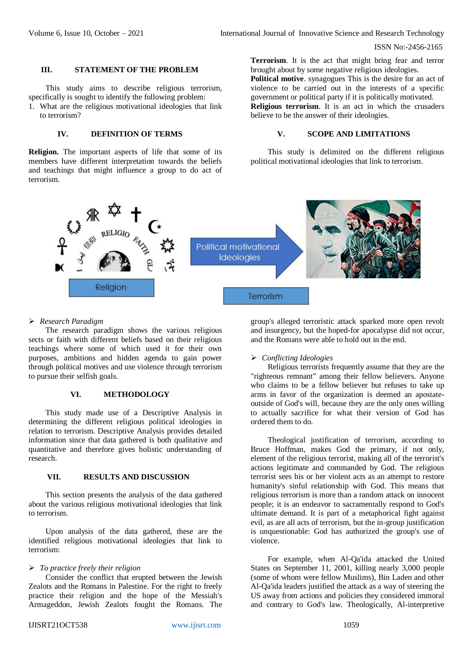ISSN No:-2456-2165

## **III. STATEMENT OF THE PROBLEM**

This study aims to describe religious terrorism, specifically is sought to identify the following problem:

1. What are the religious motivational ideologies that link to terrorism?

# **IV. DEFINITION OF TERMS**

**Religion.** The important aspects of life that some of its members have different interpretation towards the beliefs and teachings that might influence a group to do act of terrorism.

## **Terrorism**. It is the act that might bring fear and terror brought about by some negative religious ideologies.

**Political motive**. synagogues This is the desire for an act of violence to be carried out in the interests of a specific government or political party if it is politically motivated.

**Religious terrorism**. It is an act in which the crusaders believe to be the answer of their ideologies.

## **V. SCOPE AND LIMITATIONS**

This study is delimited on the different religious political motivational ideologies that link to terrorism.



# *Research Paradigm*

The research paradigm shows the various religious sects or faith with different beliefs based on their religious teachings where some of which used it for their own purposes, ambitions and hidden agenda to gain power through political motives and use violence through terrorism to pursue their selfish goals.

#### **VI. METHODOLOGY**

This study made use of a Descriptive Analysis in determining the different religious political ideologies in relation to terrorism. Descriptive Analysis provides detailed information since that data gathered is both qualitative and quantitative and therefore gives holistic understanding of research.

#### **VII. RESULTS AND DISCUSSION**

This section presents the analysis of the data gathered about the various religious motivational ideologies that link to terrorism.

Upon analysis of the data gathered, these are the identified religious motivational ideologies that link to terrorism:

## *To practice freely their religion*

Consider the conflict that erupted between the Jewish Zealots and the Romans in Palestine. For the right to freely practice their religion and the hope of the Messiah's Armageddon, Jewish Zealots fought the Romans. The

group's alleged terroristic attack sparked more open revolt and insurgency, but the hoped-for apocalypse did not occur, and the Romans were able to hold out in the end.

#### *Conflicting Ideologies*

Religious terrorists frequently assume that they are the "righteous remnant" among their fellow believers. Anyone who claims to be a fellow believer but refuses to take up arms in favor of the organization is deemed an apostateoutside of God's will, because they are the only ones willing to actually sacrifice for what their version of God has ordered them to do.

Theological justification of terrorism, according to Bruce Hoffman, makes God the primary, if not only, element of the religious terrorist, making all of the terrorist's actions legitimate and commanded by God. The religious terrorist sees his or her violent acts as an attempt to restore humanity's sinful relationship with God. This means that religious terrorism is more than a random attack on innocent people; it is an endeavor to sacramentally respond to God's ultimate demand. It is part of a metaphorical fight against evil, as are all acts of terrorism, but the in-group justification is unquestionable: God has authorized the group's use of violence.

For example, when Al-Qa'ida attacked the United States on September 11, 2001, killing nearly 3,000 people (some of whom were fellow Muslims), Bin Laden and other Al-Qa'ida leaders justified the attack as a way of steering the US away from actions and policies they considered immoral and contrary to God's law. Theologically, Al-interpretive